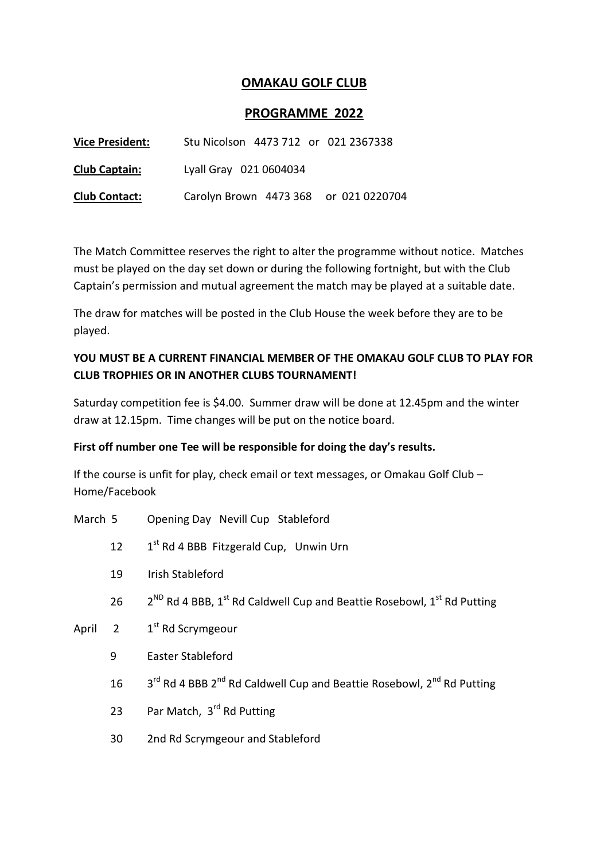## OMAKAU GOLF CLUB

## PROGRAMME 2022

| <b>Vice President:</b> | Stu Nicolson 4473 712 or 021 2367338  |
|------------------------|---------------------------------------|
| <b>Club Captain:</b>   | Lyall Gray 021 0604034                |
| <b>Club Contact:</b>   | Carolyn Brown 4473 368 or 021 0220704 |

The Match Committee reserves the right to alter the programme without notice. Matches must be played on the day set down or during the following fortnight, but with the Club Captain's permission and mutual agreement the match may be played at a suitable date.

The draw for matches will be posted in the Club House the week before they are to be played.

## YOU MUST BE A CURRENT FINANCIAL MEMBER OF THE OMAKAU GOLF CLUB TO PLAY FOR CLUB TROPHIES OR IN ANOTHER CLUBS TOURNAMENT!

Saturday competition fee is \$4.00. Summer draw will be done at 12.45pm and the winter draw at 12.15pm. Time changes will be put on the notice board.

## First off number one Tee will be responsible for doing the day's results.

If the course is unfit for play, check email or text messages, or Omakau Golf Club – Home/Facebook

- March 5 Opening Day Nevill Cup Stableford
	- 12  $1^{st}$  Rd 4 BBB Fitzgerald Cup, Unwin Urn
	- 19 Irish Stableford
	- 26  $2^{ND}$  Rd 4 BBB, 1<sup>st</sup> Rd Caldwell Cup and Beattie Rosebowl, 1st Rd Putting
- April 2  $1<sup>st</sup>$  Rd Scrymgeour
	- 9 Easter Stableford
	- 16 3<sup>rd</sup> Rd 4 BBB 2<sup>nd</sup> Rd Caldwell Cup and Beattie Rosebowl, 2<sup>nd</sup> Rd Putting
	- 23 Par Match, 3rd Rd Putting
	- 30 2nd Rd Scrymgeour and Stableford